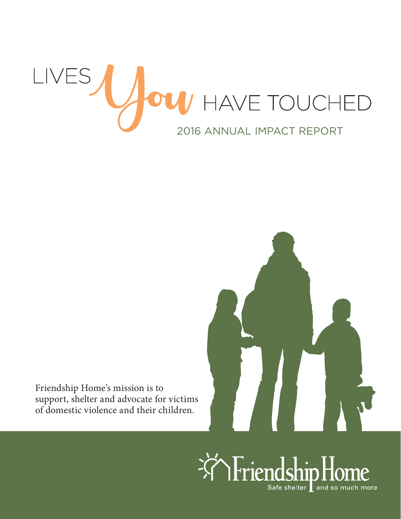



Friendship Home's mission is to support, shelter and advocate for victims of domestic violence and their children.

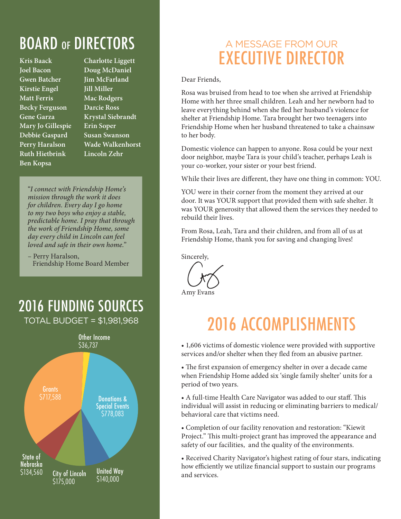## BOARD OF DIRECTORS

**Kris Baack Joel Bacon Gwen Batcher Kirstie Engel Matt Ferris Becky Ferguson Gene Garza Mary Jo Gillespie Debbie Gaspard Perry Haralson Ruth Hietbrink Ben Kopsa**

**Charlotte Liggett Doug McDaniel Jim McFarland Jill Miller Mac Rodgers Darcie Ross Krystal Siebrandt Erin Soper Susan Swanson Wade Walkenhorst Lincoln Zehr**

"*I connect with Friendship Home's mission through the work it does for children. Every day I go home to my two boys who enjoy a stable, predictable home. I pray that through the work of Friendship Home, some day every child in Lincoln can feel loved and safe in their own home.*"

– Perry Haralson, Friendship Home Board Member

### 2016 FUNDING SOURCES TOTAL BUDGET = \$1,981,968



## A MESSAGE FROM OUR EXECUTIVE DIRECTOR

Dear Friends,

Rosa was bruised from head to toe when she arrived at Friendship Home with her three small children. Leah and her newborn had to leave everything behind when she fled her husband's violence for shelter at Friendship Home. Tara brought her two teenagers into Friendship Home when her husband threatened to take a chainsaw to her body.

Domestic violence can happen to anyone. Rosa could be your next door neighbor, maybe Tara is your child's teacher, perhaps Leah is your co-worker, your sister or your best friend.

While their lives are different, they have one thing in common: YOU.

YOU were in their corner from the moment they arrived at our door. It was YOUR support that provided them with safe shelter. It was YOUR generosity that allowed them the services they needed to rebuild their lives.

From Rosa, Leah, Tara and their children, and from all of us at Friendship Home, thank you for saving and changing lives!

Sincerely,

Amy Evans

## 2016 ACCOMPLISHMENTS

• 1,606 victims of domestic violence were provided with supportive services and/or shelter when they fled from an abusive partner.

• The first expansion of emergency shelter in over a decade came when Friendship Home added six 'single family shelter' units for a period of two years.

• A full-time Health Care Navigator was added to our staff. This individual will assist in reducing or eliminating barriers to medical/ behavioral care that victims need.

• Completion of our facility renovation and restoration: "Kiewit Project." This multi-project grant has improved the appearance and safety of our facilities, and the quality of the environments.

• Received Charity Navigator's highest rating of four stars, indicating how efficiently we utilize financial support to sustain our programs and services.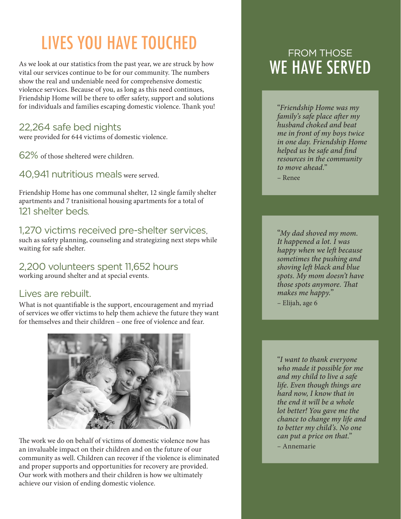# LIVES YOU HAVE TOUCHED

As we look at our statistics from the past year, we are struck by how vital our services continue to be for our community. The numbers show the real and undeniable need for comprehensive domestic violence services. Because of you, as long as this need continues, Friendship Home will be there to offer safety, support and solutions for individuals and families escaping domestic violence. Thank you!

#### 22,264 safe bed nights

were provided for 644 victims of domestic violence.

62% of those sheltered were children.

40,941 nutritious meals were served.

Friendship Home has one communal shelter, 12 single family shelter apartments and 7 tranisitional housing apartments for a total of 121 shelter beds.

#### 1,270 victims received pre-shelter services,

such as safety planning, counseling and strategizing next steps while waiting for safe shelter.

### 2,200 volunteers spent 11,652 hours

working around shelter and at special events.

#### Lives are rebuilt.

What is not quantifiable is the support, encouragement and myriad of services we offer victims to help them achieve the future they want for themselves and their children – one free of violence and fear.



The work we do on behalf of victims of domestic violence now has an invaluable impact on their children and on the future of our community as well. Children can recover if the violence is eliminated and proper supports and opportunities for recovery are provided. Our work with mothers and their children is how we ultimately achieve our vision of ending domestic violence.

### FROM THOSE WE HAVE SERVED

"*Friendship Home was my family's safe place after my husband choked and beat me in front of my boys twice in one day. Friendship Home helped us be safe and find resources in the community to move ahead.*"

– Renee

"*My dad shoved my mom. It happened a lot. I was happy when we left because sometimes the pushing and shoving left black and blue spots. My mom doesn't have those spots anymore. That makes me happy.*" – Elijah, age 6

"*I want to thank everyone who made it possible for me and my child to live a safe life. Even though things are hard now, I know that in the end it will be a whole lot better! You gave me the chance to change my life and to better my child's. No one can put a price on that.*" – Annemarie